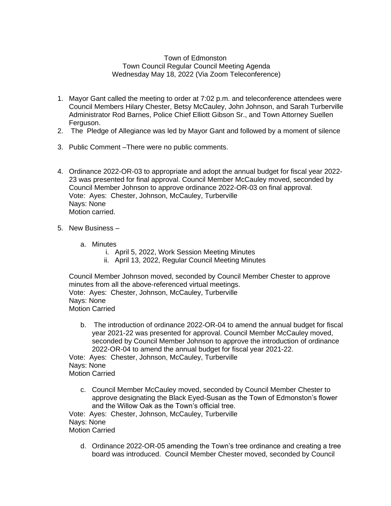## Town of Edmonston Town Council Regular Council Meeting Agenda Wednesday May 18, 2022 (Via Zoom Teleconference)

- 1. Mayor Gant called the meeting to order at 7:02 p.m. and teleconference attendees were Council Members Hilary Chester, Betsy McCauley, John Johnson, and Sarah Turberville Administrator Rod Barnes, Police Chief Elliott Gibson Sr., and Town Attorney Suellen Ferguson.
- 2. The Pledge of Allegiance was led by Mayor Gant and followed by a moment of silence
- 3. Public Comment –There were no public comments.
- 4. Ordinance 2022-OR-03 to appropriate and adopt the annual budget for fiscal year 2022- 23 was presented for final approval. Council Member McCauley moved, seconded by Council Member Johnson to approve ordinance 2022-OR-03 on final approval. Vote: Ayes: Chester, Johnson, McCauley, Turberville Nays: None Motion carried.
- 5. New Business
	- a. Minutes
		- i. April 5, 2022, Work Session Meeting Minutes
		- ii. April 13, 2022, Regular Council Meeting Minutes

Council Member Johnson moved, seconded by Council Member Chester to approve minutes from all the above-referenced virtual meetings. Vote: Ayes: Chester, Johnson, McCauley, Turberville Nays: None Motion Carried

b. The introduction of ordinance 2022-OR-04 to amend the annual budget for fiscal year 2021-22 was presented for approval. Council Member McCauley moved, seconded by Council Member Johnson to approve the introduction of ordinance 2022-OR-04 to amend the annual budget for fiscal year 2021-22.

Vote: Ayes: Chester, Johnson, McCauley, Turberville Nays: None Motion Carried

c. Council Member McCauley moved, seconded by Council Member Chester to approve designating the Black Eyed-Susan as the Town of Edmonston's flower and the Willow Oak as the Town's official tree.

Vote: Ayes: Chester, Johnson, McCauley, Turberville Nays: None Motion Carried

d. Ordinance 2022-OR-05 amending the Town's tree ordinance and creating a tree board was introduced. Council Member Chester moved, seconded by Council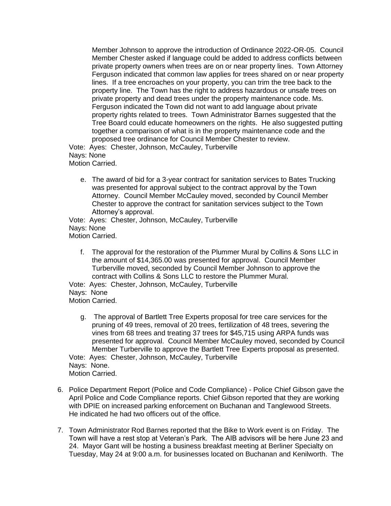Member Johnson to approve the introduction of Ordinance 2022-OR-05. Council Member Chester asked if language could be added to address conflicts between private property owners when trees are on or near property lines. Town Attorney Ferguson indicated that common law applies for trees shared on or near property lines. If a tree encroaches on your property, you can trim the tree back to the property line. The Town has the right to address hazardous or unsafe trees on private property and dead trees under the property maintenance code. Ms. Ferguson indicated the Town did not want to add language about private property rights related to trees. Town Administrator Barnes suggested that the Tree Board could educate homeowners on the rights. He also suggested putting together a comparison of what is in the property maintenance code and the proposed tree ordinance for Council Member Chester to review.

Vote: Ayes: Chester, Johnson, McCauley, Turberville Nays: None Motion Carried.

e. The award of bid for a 3-year contract for sanitation services to Bates Trucking was presented for approval subject to the contract approval by the Town Attorney. Council Member McCauley moved, seconded by Council Member Chester to approve the contract for sanitation services subject to the Town Attorney's approval.

Vote: Ayes: Chester, Johnson, McCauley, Turberville Nays: None Motion Carried.

f. The approval for the restoration of the Plummer Mural by Collins & Sons LLC in the amount of \$14,365.00 was presented for approval. Council Member Turberville moved, seconded by Council Member Johnson to approve the contract with Collins & Sons LLC to restore the Plummer Mural.

Vote: Ayes: Chester, Johnson, McCauley, Turberville

Nays: None

Motion Carried.

g. The approval of Bartlett Tree Experts proposal for tree care services for the pruning of 49 trees, removal of 20 trees, fertilization of 48 trees, severing the vines from 68 trees and treating 37 trees for \$45,715 using ARPA funds was presented for approval. Council Member McCauley moved, seconded by Council Member Turberville to approve the Bartlett Tree Experts proposal as presented. Vote: Ayes: Chester, Johnson, McCauley, Turberville

Nays: None. Motion Carried.

- 6. Police Department Report (Police and Code Compliance) Police Chief Gibson gave the April Police and Code Compliance reports. Chief Gibson reported that they are working with DPIE on increased parking enforcement on Buchanan and Tanglewood Streets. He indicated he had two officers out of the office.
- 7. Town Administrator Rod Barnes reported that the Bike to Work event is on Friday. The Town will have a rest stop at Veteran's Park. The AIB advisors will be here June 23 and 24. Mayor Gant will be hosting a business breakfast meeting at Berliner Specialty on Tuesday, May 24 at 9:00 a.m. for businesses located on Buchanan and Kenilworth. The